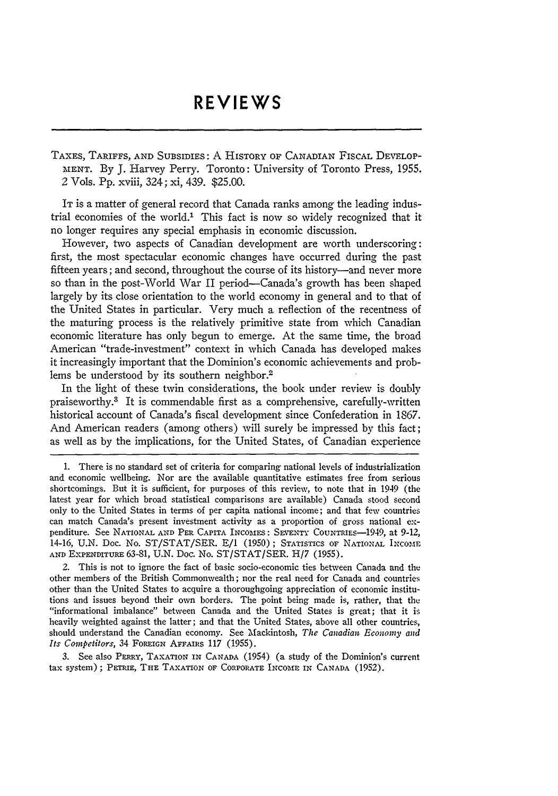## **REVIEWS**

TAXES, TARIFFS, AND SUBSIDIES: A HISTORY OF CANADIAN FISCAL DEVELOP-MENT. By J. Harvey Perry. Toronto: University of Toronto Press, 1955. 2 Vols. Pp. xviii, 324; xi, 439. \$25.00.

IT is a matter of general record that Canada ranks among the leading industrial economies of the world.' This fact is now so widely recognized that it no longer requires any special emphasis in economic discussion.

However, two aspects of Canadian development are worth underscoring: first, the most spectacular economic changes have occurred during the past fifteen years; and second, throughout the course of its history—and never more so than in the post-World War II period-Canada's growth has been shaped largely by its close orientation to the world economy in general and to that of the United States in particular. Very much a reflection of the recentness of the maturing process is the relatively primitive state from which Canadian economic literature has only begun to emerge. At the same time, the broad American "trade-investment" context in which Canada has developed makes it increasingly important that the Dominion's economic achievements and problems be understood by its southern neighbor.<sup>2</sup>

In the light of these twin considerations, the book under review is doubly praiseworthy.3 It is commendable first as a comprehensive, carefully-written historical account of Canada's fiscal development since Confederation in 1867. And American readers (among others) will surely be impressed by this fact; as well as by the implications, for the United States, of Canadian experience

2. This is not to ignore the fact of basic socio-economic ties between Canada and the other members of the British Commonwealth; nor the real need for Canada and countries other than the United States to acquire a thoroughgoing appreciation of economic institutions and issues beyond their own borders. The point being made is, rather, that the "informational imbalance" between Canada and the United States is great; that it is heavily weighted against the latter; and that the United States, above all other countries, should understand the Canadian economy. See Mackintosh, *The Canadian Economy and Its Competitors, 34 FOREIGN AFFAIRS 117 (1955).* 

3. See also PERRY, TAXATION IN CANADA (1954) (a study of the Dominion's current tax system) ; PERIE, THE TAXATION OF CORPORATE INCOME IN CANADA (1952).

<sup>1.</sup> There is no standard set of criteria for comparing national levels of industrialization and economic wellbeing. Nor are the available quantitative estimates free from serious shortcomings. But it is sufficient, for purposes of this review, to note that in 1949 (the latest year for which broad statistical comparisons are available) Canada stood second only to the United States in terms of per capita national income; and that few countries can match Canada's present investment activity as a proportion of gross national expenditure. See NATIONAL AND PER CAPITA INCOMES: SEVENTY COUNTRIES-1949, at 9-12, 14-16, U.N. Doc. No. ST/STAT/SER. **E/i** (1950); STATISTICS OF NATIONAL INCOME AND EXPENDITURE 63-81, U.N. Doc. No. ST/STAT/SER. H/7 (1955).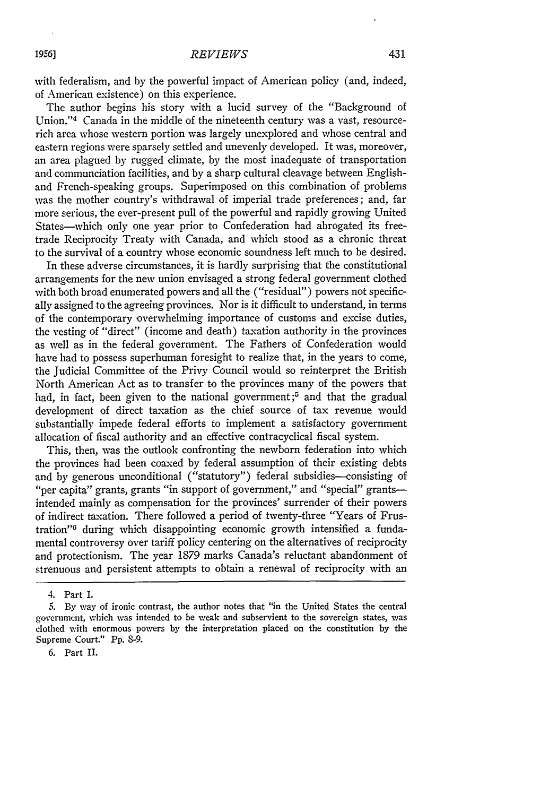with federalism, and by the powerful impact of American policy (and, indeed, of American existence) on this experience.

The author begins his story with a lucid survey of the "Background of Union."<sup>4</sup> Canada in the middle of the nineteenth century was a vast, resourcerich area whose western portion was largely unexplored and whose central and eastern regions were sparsely settled and unevenly developed. It was, moreover, an area plagued by rugged climate, by the most inadequate of transportation and communciation facilities, and by a sharp cultural cleavage between Englishand French-speaking groups. Superimposed on this combination of problems was the mother country's withdrawal of imperial trade preferences; and, far more serious, the ever-present pull of the powerful and rapidly growing United States-which only one year prior to Confederation had abrogated its freetrade Reciprocity Treaty with Canada, and which stood as a chronic threat to the survival of a country whose economic soundness left much to be desired.

In these adverse circumstances, it is hardly surprising that the constitutional arrangements for the new union envisaged a strong federal government clothed with both broad enumerated powers and all the ("residual") powers not specifically assigned to the agreeing provinces. Nor is it difficult to understand, in terms of the contemporary overwhelming importance of customs and excise duties, the vesting of "direct" (income and death) taxation authority in the provinces as well as in the federal government. The Fathers of Confederation would have had to possess superhuman foresight to realize that, in the years to come, the Judicial Committee of the Privy Council would so reinterpret the British North American Act as to transfer to the provinces many of the powers that had, in fact, been given to the national government;<sup>5</sup> and that the gradual development of direct taxation as the chief source of tax revenue would substantially impede federal efforts to implement a satisfactory government allocation of fiscal authority and an effective contracyclical fiscal system.

This, then, was the outlook confronting the newborn federation into which the provinces had been coaxed by federal assumption of their existing debts and by generous unconditional ("statutory") federal subsidies-consisting of "per capita" grants, grants "in support of government," and "special" grantsintended mainly as compensation for the provinces' surrender of their powers of indirect taxation. There followed a period of twenty-three "Years of Frustration"" during which disappointing economic growth intensified a fundamental controversy over tariff policy centering on the alternatives of reciprocity and protectionism. The year 1879 marks Canada's reluctant abandonment of strenuous and persistent attempts to obtain a renewal of reciprocity with an

<sup>4.</sup> Part I.

<sup>5.</sup> By way of ironic contrast, the author notes that "in the United States the central government, which was intended to be weak and subservient to the sovereign states, was clothed with enormous powers **by** the interpretation placed on the constitution by the Supreme Court." Pp. 8-9.

<sup>6.</sup> Part II.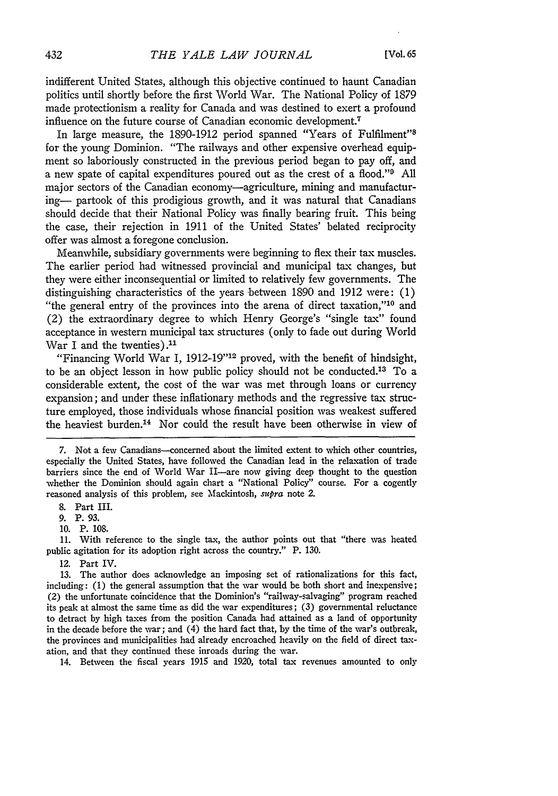indifferent United States, although this objective continued to haunt Canadian politics until shortly before the first World War. The National Policy of 1879 made protectionism a reality for Canada and was destined to exert a profound influence on the future course of Canadian economic development.<sup>7</sup>

In large measure, the 1890-1912 period spanned "Years of Fulfilment"<sup>8</sup> for the young Dominion. "The railways and other expensive overhead equipment so laboriously constructed in the previous period began to pay off, and a new spate of capital expenditures poured out as the crest of a flood."<sup>9</sup> All major sectors of the Canadian economy—agriculture, mining and manufacturing- partook of this prodigious growth, and it was natural that Canadians should decide that their National Policy was finally bearing fruit. This being the case, their rejection in 1911 of the United States' belated reciprocity offer was almost a foregone conclusion.

Meanwhile, subsidiary governments were beginning to flex their tax muscles. The earlier period had witnessed provincial and municipal tax changes, but they were either inconsequential or limited to relatively few governments. The distinguishing characteristics of the years between 1890 and 1912 were: (1) "the general entry of the provinces into the arena of direct taxation," $10$  and (2) the extraordinary degree to which Henry George's "single tax" found acceptance in western municipal tax structures (only to fade out during World War I and the twenties). $11$ 

"Financing World War I, 1912-19"<sup>12</sup> proved, with the benefit of hindsight, to be an object lesson in how public policy should not be conducted.<sup>13</sup> To a considerable extent, the cost of the war was met through loans or currency expansion; and under these inflationary methods and the regressive tax structure employed, those individuals whose financial position was weakest suffered the heaviest burden.14 Nor could the result have been otherwise in view of

7. Not a few Canadians--concerned about the limited extent to which other countries, especially the United States, have followed the Canadian lead in the relaxation of trade barriers since the end of World War II—are now giving deep thought to the question whether the Dominion should again chart a "National Policy" course. For a cogently reasoned analysis of this problem, see Mackintosh, *supra* note 2.

8. Part III.

**9.** P. 93.

**10.** P. 108.

11. With reference to the single tax, the author points out that "there was heated public agitation for its adoption right across the country." P. 130.

12. Part IV.

13. The author does acknowledge an imposing set of rationalizations for this fact, including: (1) the general assumption that the war would be both short and inexpensive; (2) the unfortunate coincidence that the Dominion's "railway-salvaging" program reached its peak at almost the same time as did the war expenditures; (3) governmental reluctance to detract by high taxes from the position Canada had attained as a land of opportunity in the decade before the war; and (4) the hard fact that, by the time of the war's outbreak, the provinces and municipalities had already encroached heavily on the field of direct taxation, and that they continued these inroads during the war.

14. Between the fiscal years 1915 and 1920, total tax revenues amounted to only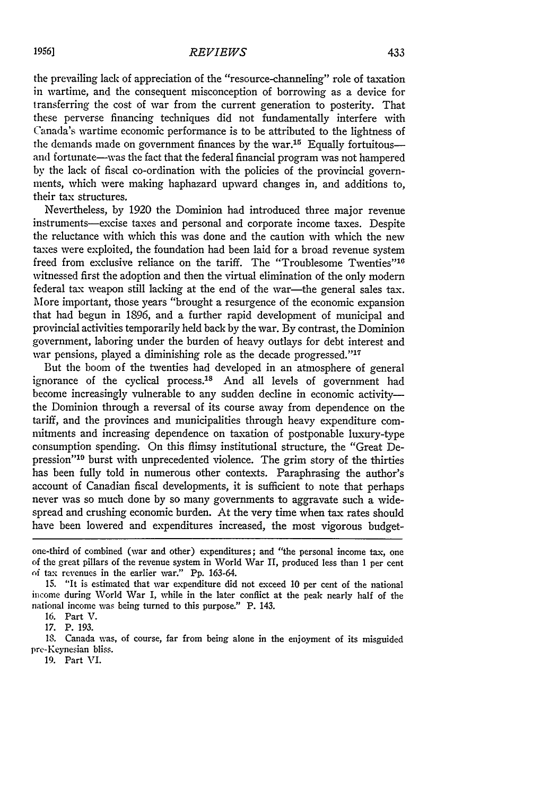the prevailing lack of appreciation of the "resource-channeling" role of taxation in wartime, and the consequent misconception of borrowing as a device for transferring the cost of war from the current generation to posterity. That these perverse financing techniques did not fundamentally interfere with Canada's wartime economic performance is to be attributed to the lightness of the demands made on government finances by the war.<sup>15</sup> Equally fortuitous-and fortunate-was the fact that the federal financial program was not hampered by the lack of fiscal co-ordination with the policies of the provincial governments, which were making haphazard upward changes in, and additions to, their tax structures.

Nevertheless, by 1920 the Dominion had introduced three major revenue instruments-excise taxes and personal and corporate income taxes. Despite the reluctance with which this was done and the caution with which the new taxes were exploited, the foundation had been laid for a broad revenue system freed from exclusive reliance on the tariff. The "Troublesome Twenties"<sup>16</sup> witnessed first the adoption and then the virtual elimination of the only modern federal tax weapon still lacking at the end of the war-the general sales tax. More important, those years "brought a resurgence of the economic expansion that had begun in 1896, and a further rapid development of municipal and provincial activities temporarily held back by the war. By contrast, the Dominion government, laboring under the burden of heavy outlays for debt interest and war pensions, played a diminishing role as the decade progressed."<sup>17</sup>

But the boom of the twenties had developed in an atmosphere of general ignorance of the cyclical process.<sup>18</sup> And all levels of government had become increasingly vulnerable to any sudden decline in economic activitythe Dominion through a reversal of its course away from dependence on the tariff, and the provinces and municipalities through heavy expenditure commitments and increasing dependence on taxation of postponable luxury-type consumption spending. On this flimsy institutional structure, the "Great Depression"'19 burst with unprecedented violence. The grim story of the thirties has been fully told in numerous other contexts. Paraphrasing the author's account of Canadian fiscal developments, it is sufficient to note that perhaps never was so much done by so many governments to aggravate such a widespread and crushing economic burden. At the very time when tax rates should have been lowered and expenditures increased, the most vigorous budget-

**1.** Canada was, of course, far from being alone in the enjoyment of its misguided pre-Keynesian bliss.

one-third of combined (war and other) expenditures; and "the personal income tax, one of the great pillars of the revenue system in World War II, produced less than **1** per cent of tax revenues in the earlier war." Pp. 163-64.

<sup>15.</sup> "It is estimated that war expenditure did not exceed 10 per cent of the national income during World War I, while in the later conflict at the peak nearly half of the national income was being turned to this purpose." P. 143.

<sup>16.</sup> Part V.

<sup>17.</sup> P. 193.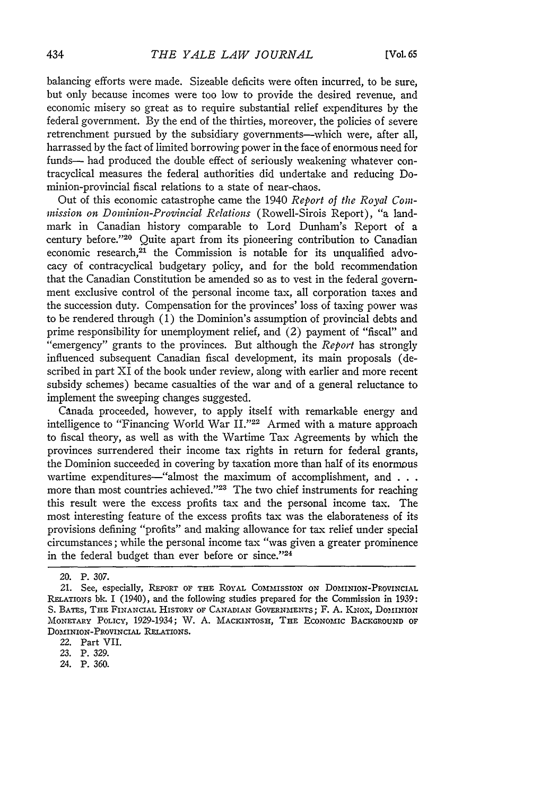balancing efforts were made. Sizeable deficits were often incurred, to be sure, but only because incomes were too low to provide the desired revenue, and economic misery so great as to require substantial relief expenditures by the federal government. By the end of the thirties, moreover, the policies of severe retrenchment pursued by the subsidiary governments--which were, after all, harrassed by the fact of limited borrowing power in the face of enormous need for funds- had produced the double effect of seriously weakening whatever contracyclical measures the federal authorities did undertake and reducing Dominion-provincial fiscal relations to a state of near-chaos.

Out of this economic catastrophe came the 1940 *Report of the Royal Commission on Dominion-Provincial Relations* (Rowell-Sirois Report), "a landmark in Canadian history comparable to Lord Dunham's Report of a century before."<sup>20</sup> Quite apart from its pioneering contribution to Canadian economic research, $21$  the Commission is notable for its unqualified advocacy of contracyclical budgetary policy, and for the bold recommendation that the Canadian Constitution be amended so as to vest in the federal government exclusive control of the personal income tax, all corporation taxes and the succession duty. Compensation for the provinces' loss of taxing power was to be rendered through  $(1)$  the Dominion's assumption of provincial debts and prime responsibility for unemployment relief, and (2) payment of "fiscal" and "emergency" grants to the provinces. But although the *Report* has strongly influenced subsequent Canadian fiscal development, its main proposals (described in part XI of the book under review, along with earlier and more recent subsidy schemes) became casualties of the war and of a general reluctance to implement the sweeping changes suggested.

Canada proceeded, however, to apply itself with remarkable energy and intelligence to "Financing World War II."<sup>22</sup> Armed with a mature approach to fiscal theory, as well as with the Wartime Tax Agreements **by** which the provinces surrendered their income tax rights in return for federal grants, the Dominion succeeded in covering **by** taxation more than half of its enormous wartime expenditures-"almost the maximum of accomplishment, and **. . .** more than most countries achieved."<sup>23</sup> The two chief instruments for reaching this result were the excess profits tax and the personal income tax. The most interesting feature of the excess profits tax was the elaborateness of its provisions defining "profits" and making allowance for tax relief under special circumstances; while the personal income tax "was given a greater prominence in the federal budget than ever before or since."24

22. Part VII.

23. P. 329.

24. P. 360.

<sup>20.</sup> P. 307.

<sup>21.</sup> See, especially, **REPORT OF THE** ROYAL **COmmISSION** ON DOMINION-PROvINCIAL .ELATIONS **bk.** I (1940), and the following studies prepared for the Commission in 1939: **S.** BATES, **THE** FINANCIAL HISTORY OF **CANADIAN GOVERNMENTS;** F. **A.** KNOX, **DOMINION** MONETARY POLICY, 1929-1934; W. A. MACKINTOSH, **THE** ECONOMIC **BACKGROUND** OF **DOMINION-PROVINCIAL** RELATIONS.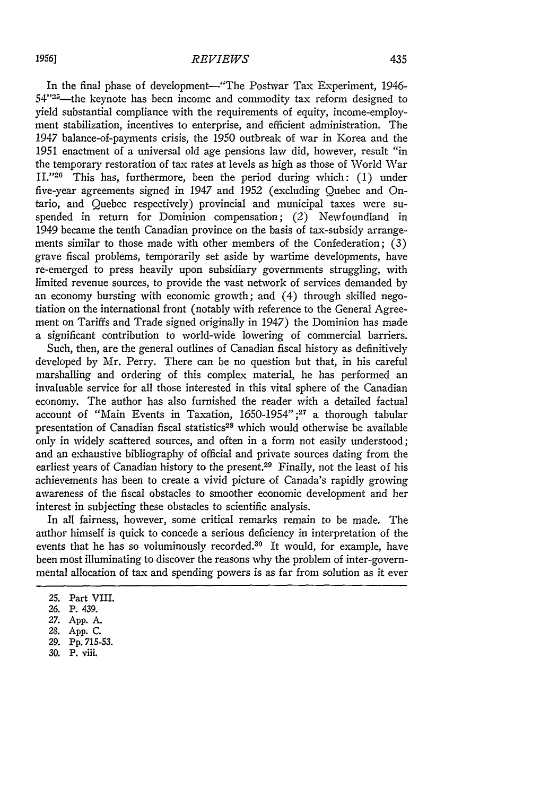In the final phase of development-"The Postwar Tax Experiment, 1946- $54$ "<sup>25</sup>—the keynote has been income and commodity tax reform designed to yield substantial compliance with the requirements of equity, income-employment stabilization, incentives to enterprise, and efficient administration. The 1947 balance-of-payments crisis, the 1950 outbreak of war in Korea and the 1951 enactment of a universal old age pensions law did, however, result "in the temporary restoration of tax rates at levels as high as those of World War II."<sup>26</sup> This has, furthermore, been the period during which: (1) under five-year agreements signed in 1947 and 1952 (excluding Quebec and Ontario, and Quebec respectively) provincial and municipal taxes were suspended in return for Dominion compensation; (2) Newfoundland in 1949 became the tenth Canadian province on the basis of tax-subsidy arrangements similar to those made with other members of the Confederation; (3) grave fiscal problems, temporarily set aside by wartime developments, have re-emerged to press heavily upon subsidiary governments struggling, with limited revenue sources, to provide the vast network of services demanded by an economy bursting with economic growth; and (4) through skilled negotiation on the international front (notably with reference to the General Agreement on Tariffs and Trade signed originally in 1947) the Dominion has made a significant contribution to world-wide lowering of commercial barriers.

Such, then, are the general outlines of Canadian fiscal history as definitively developed by Mr. Perry. There can be no question but that, in his careful marshalling and ordering of this complex material, he has performed an invaluable service for all those interested in this vital sphere of the Canadian economy. The author has also furnished the reader with a detailed factual account of "Main Events in Taxation, 1650-1954" **;27** a thorough tabular presentation of Canadian fiscal statistics<sup>28</sup> which would otherwise be available only in widely scattered sources, and often in a form not easily understood; and an exhaustive bibliography of official and private sources dating from the earliest years of Canadian history to the present.<sup>29</sup> Finally, not the least of his achievements has been to create a vivid picture of Canada's rapidly growing awareness of the fiscal obstacles to smoother economic development and her interest in subjecting these obstacles to scientific analysis.

In all fairness, however, some critical remarks remain to be made. The author himself is quick to concede a serious deficiency in interpretation of the events that he has so voluminously recorded.<sup>30</sup> It would, for example, have been most illuminating to discover the reasons why the problem of inter-governmental allocation of tax and spending powers is as far from solution as it ever

**<sup>25.</sup>** Part VIII.

*<sup>26.</sup>* P. 439.

**<sup>27.</sup>** App. **A.**

<sup>28.</sup> App. C.

<sup>29.</sup> Pp. 715-53.

<sup>30.</sup> P. viii.